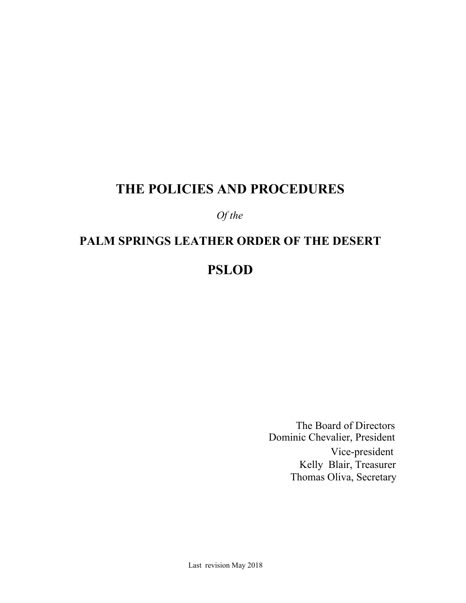# **THE POLICIES AND PROCEDURES**

# *Of the*

# **PALM SPRINGS LEATHER ORDER OF THE DESERT PSLOD**

Thomas Oliva, Secretary Kelly Blair, Treasurer The Board of Directors Dominic Chevalier, President Vice-president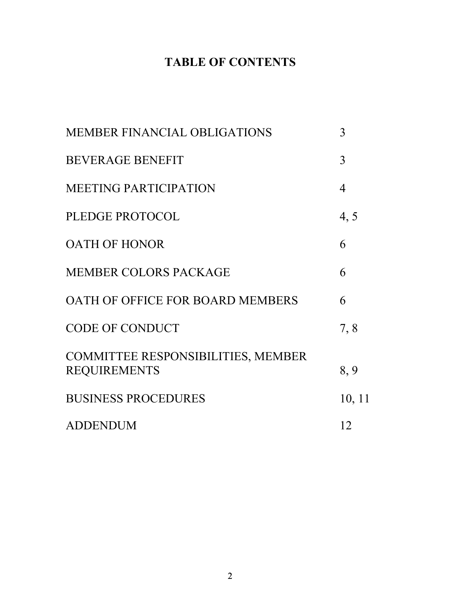# **TABLE OF CONTENTS**

| MEMBER FINANCIAL OBLIGATIONS                                     | 3      |
|------------------------------------------------------------------|--------|
| <b>BEVERAGE BENEFIT</b>                                          | 3      |
| <b>MEETING PARTICIPATION</b>                                     | 4      |
| PLEDGE PROTOCOL                                                  | 4, 5   |
| <b>OATH OF HONOR</b>                                             | 6      |
| <b>MEMBER COLORS PACKAGE</b>                                     | 6      |
| OATH OF OFFICE FOR BOARD MEMBERS                                 | 6      |
| <b>CODE OF CONDUCT</b>                                           | 7,8    |
| <b>COMMITTEE RESPONSIBILITIES, MEMBER</b><br><b>REQUIREMENTS</b> | 8,9    |
| <b>BUSINESS PROCEDURES</b>                                       | 10, 11 |
| <b>ADDENDUM</b>                                                  | 12     |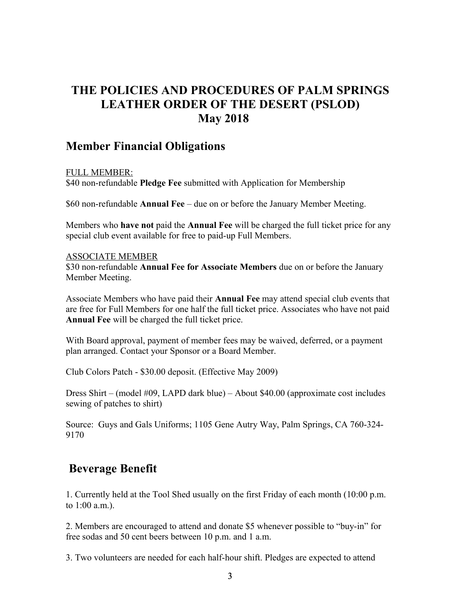# **THE POLICIES AND PROCEDURES OF PALM SPRINGS LEATHER ORDER OF THE DESERT (PSLOD) May 2018**

# **Member Financial Obligations**

# FULL MEMBER:

\$40 non-refundable **Pledge Fee** submitted with Application for Membership

\$60 non-refundable **Annual Fee** – due on or before the January Member Meeting.

Members who **have not** paid the **Annual Fee** will be charged the full ticket price for any special club event available for free to paid-up Full Members.

#### ASSOCIATE MEMBER

\$30 non-refundable **Annual Fee for Associate Members** due on or before the January Member Meeting.

Associate Members who have paid their **Annual Fee** may attend special club events that are free for Full Members for one half the full ticket price. Associates who have not paid **Annual Fee** will be charged the full ticket price.

With Board approval, payment of member fees may be waived, deferred, or a payment plan arranged. Contact your Sponsor or a Board Member.

Club Colors Patch - \$30.00 deposit. (Effective May 2009)

Dress Shirt – (model #09, LAPD dark blue) – About \$40.00 (approximate cost includes sewing of patches to shirt)

Source: Guys and Gals Uniforms; 1105 Gene Autry Way, Palm Springs, CA 760-324- 9170

# **Beverage Benefit**

1. Currently held at the Tool Shed usually on the first Friday of each month (10:00 p.m. to 1:00 a.m.).

2. Members are encouraged to attend and donate \$5 whenever possible to "buy-in" for free sodas and 50 cent beers between 10 p.m. and 1 a.m.

3. Two volunteers are needed for each half-hour shift. Pledges are expected to attend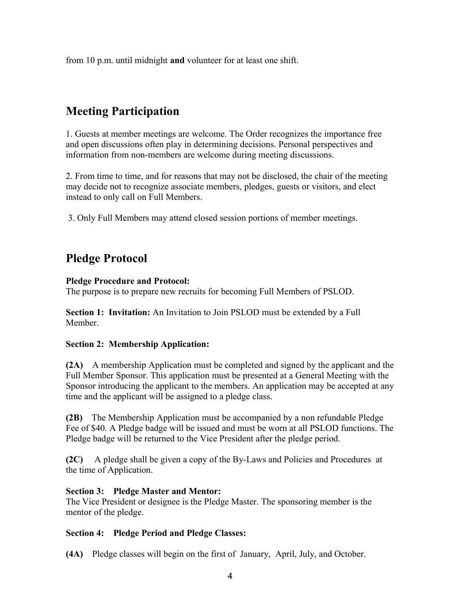from 10 p.m. until midnight **and** volunteer for at least one shift.

# **Meeting Participation**

1. Guests at member meetings are welcome. The Order recognizes the importance free and open discussions often play in determining decisions. Personal perspectives and information from non-members are welcome during meeting discussions.

2. From time to time, and for reasons that may not be disclosed, the chair of the meeting may decide not to recognize associate members, pledges, guests or visitors, and elect instead to only call on Full Members.

3. Only Full Members may attend closed session portions of member meetings.

# **Pledge Protocol**

## **Pledge Procedure and Protocol:**

The purpose is to prepare new recruits for becoming Full Members of PSLOD.

**Section 1: Invitation:** An Invitation to Join PSLOD must be extended by a Full Member.

# **Section 2: Membership Application:**

**(2A)** A membership Application must be completed and signed by the applicant and the Full Member Sponsor. This application must be presented at a General Meeting with the Sponsor introducing the applicant to the members. An application may be accepted at any time and the applicant will be assigned to a pledge class.

**(2B)** The Membership Application must be accompanied by a non refundable Pledge Fee of \$40. A Pledge badge will be issued and must be worn at all PSLOD functions. The Pledge badge will be returned to the Vice President after the pledge period.

**(2C)** A pledge shall be given a copy of the By-Laws and Policies and Procedures at the time of Application.

## **Section 3: Pledge Master and Mentor:**

The Vice President or designee is the Pledge Master. The sponsoring member is the mentor of the pledge.

## **Section 4: Pledge Period and Pledge Classes:**

**(4A)** Pledge classes will begin on the first of January, April, July, and October.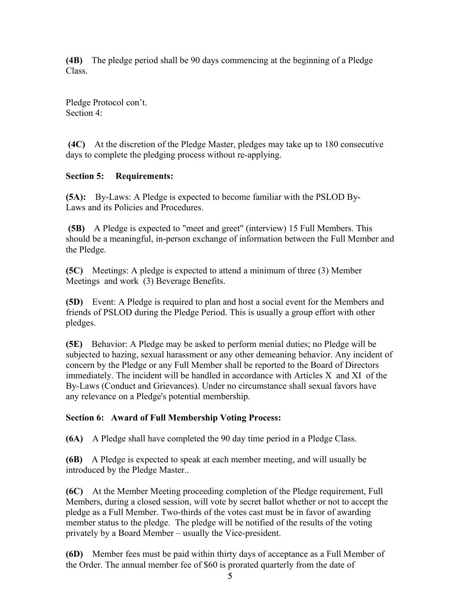**(4B)** The pledge period shall be 90 days commencing at the beginning of a Pledge Class.

Pledge Protocol con't. Section 4:

 **(4C)** At the discretion of the Pledge Master, pledges may take up to 180 consecutive days to complete the pledging process without re-applying.

# **Section 5: Requirements:**

**(5A):** By-Laws: A Pledge is expected to become familiar with the PSLOD By-Laws and its Policies and Procedures.

 **(5B)** A Pledge is expected to "meet and greet" (interview) 15 Full Members. This should be a meaningful, in-person exchange of information between the Full Member and the Pledge.

**(5C)** Meetings: A pledge is expected to attend a minimum of three (3) Member Meetings and work (3) Beverage Benefits.

**(5D)** Event: A Pledge is required to plan and host a social event for the Members and friends of PSLOD during the Pledge Period. This is usually a group effort with other pledges.

**(5E)** Behavior: A Pledge may be asked to perform menial duties; no Pledge will be subjected to hazing, sexual harassment or any other demeaning behavior. Any incident of concern by the Pledge or any Full Member shall be reported to the Board of Directors immediately. The incident will be handled in accordance with Articles X and XI of the By-Laws (Conduct and Grievances). Under no circumstance shall sexual favors have any relevance on a Pledge's potential membership.

# **Section 6: Award of Full Membership Voting Process:**

**(6A)** A Pledge shall have completed the 90 day time period in a Pledge Class.

**(6B)** A Pledge is expected to speak at each member meeting, and will usually be introduced by the Pledge Master..

**(6C)** At the Member Meeting proceeding completion of the Pledge requirement, Full Members, during a closed session, will vote by secret ballot whether or not to accept the pledge as a Full Member. Two-thirds of the votes cast must be in favor of awarding member status to the pledge. The pledge will be notified of the results of the voting privately by a Board Member – usually the Vice-president.

**(6D)** Member fees must be paid within thirty days of acceptance as a Full Member of the Order. The annual member fee of \$60 is prorated quarterly from the date of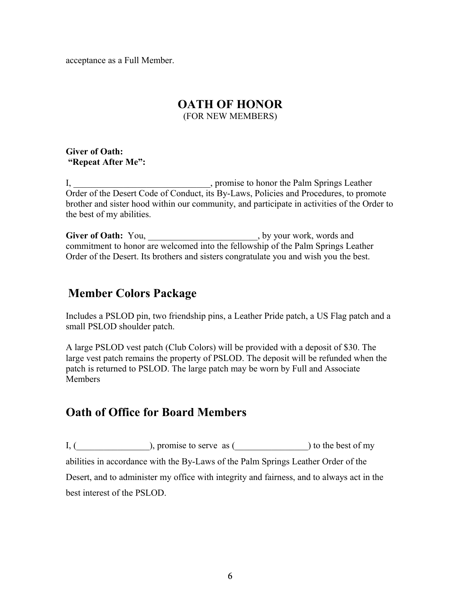acceptance as a Full Member.

# **OATH OF HONOR**

(FOR NEW MEMBERS)

**Giver of Oath: "Repeat After Me":**

I, \_\_\_\_\_\_\_\_\_\_\_\_\_\_\_\_\_\_\_\_\_\_\_\_, promise to honor the Palm Springs Leather Order of the Desert Code of Conduct, its By-Laws, Policies and Procedures, to promote brother and sister hood within our community, and participate in activities of the Order to the best of my abilities.

Giver of Oath: You, \_\_\_\_\_\_\_\_\_\_\_\_\_\_\_\_\_\_\_\_\_\_\_, by your work, words and commitment to honor are welcomed into the fellowship of the Palm Springs Leather Order of the Desert. Its brothers and sisters congratulate you and wish you the best.

# **Member Colors Package**

Includes a PSLOD pin, two friendship pins, a Leather Pride patch, a US Flag patch and a small PSLOD shoulder patch.

A large PSLOD vest patch (Club Colors) will be provided with a deposit of \$30. The large vest patch remains the property of PSLOD. The deposit will be refunded when the patch is returned to PSLOD. The large patch may be worn by Full and Associate **Members** 

# **Oath of Office for Board Members**

 $I, (\_\_\_\_\_$ ), promise to serve as ( $\_\_\_\_\_$ ) to the best of my abilities in accordance with the By-Laws of the Palm Springs Leather Order of the Desert, and to administer my office with integrity and fairness, and to always act in the best interest of the PSLOD.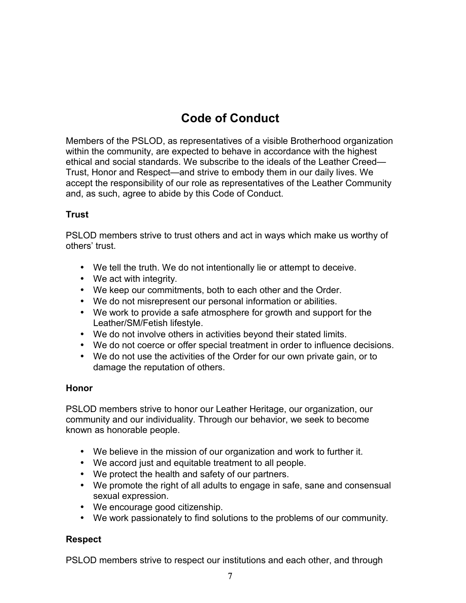# **Code of Conduct**

Members of the PSLOD, as representatives of a visible Brotherhood organization within the community, are expected to behave in accordance with the highest ethical and social standards. We subscribe to the ideals of the Leather Creed— Trust, Honor and Respect—and strive to embody them in our daily lives. We accept the responsibility of our role as representatives of the Leather Community and, as such, agree to abide by this Code of Conduct.

# **Trust**

PSLOD members strive to trust others and act in ways which make us worthy of others' trust.

- We tell the truth. We do not intentionally lie or attempt to deceive.
- We act with integrity.
- We keep our commitments, both to each other and the Order.
- We do not misrepresent our personal information or abilities.
- We work to provide a safe atmosphere for growth and support for the Leather/SM/Fetish lifestyle.
- We do not involve others in activities beyond their stated limits.
- We do not coerce or offer special treatment in order to influence decisions.
- We do not use the activities of the Order for our own private gain, or to damage the reputation of others.

# **Honor**

PSLOD members strive to honor our Leather Heritage, our organization, our community and our individuality. Through our behavior, we seek to become known as honorable people.

- We believe in the mission of our organization and work to further it.
- We accord just and equitable treatment to all people.
- We protect the health and safety of our partners.
- We promote the right of all adults to engage in safe, sane and consensual sexual expression.
- We encourage good citizenship.
- We work passionately to find solutions to the problems of our community.

# **Respect**

PSLOD members strive to respect our institutions and each other, and through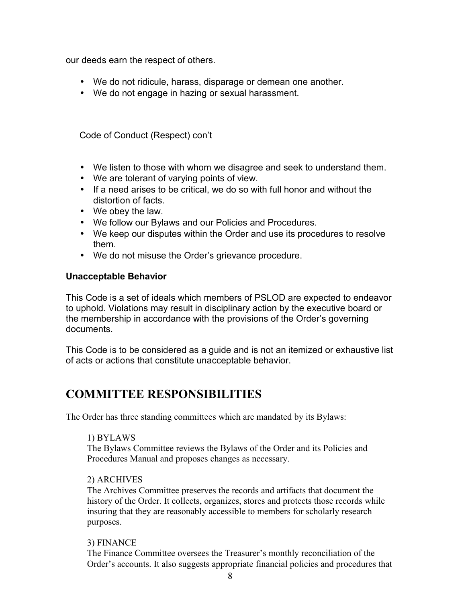our deeds earn the respect of others.

- We do not ridicule, harass, disparage or demean one another.
- We do not engage in hazing or sexual harassment.

Code of Conduct (Respect) con't

- We listen to those with whom we disagree and seek to understand them.
- We are tolerant of varying points of view.
- If a need arises to be critical, we do so with full honor and without the distortion of facts.
- We obey the law.
- We follow our Bylaws and our Policies and Procedures.
- We keep our disputes within the Order and use its procedures to resolve them.
- We do not misuse the Order's grievance procedure.

# **Unacceptable Behavior**

This Code is a set of ideals which members of PSLOD are expected to endeavor to uphold. Violations may result in disciplinary action by the executive board or the membership in accordance with the provisions of the Order's governing documents.

This Code is to be considered as a guide and is not an itemized or exhaustive list of acts or actions that constitute unacceptable behavior.

# **COMMITTEE RESPONSIBILITIES**

The Order has three standing committees which are mandated by its Bylaws:

# 1) BYLAWS

The Bylaws Committee reviews the Bylaws of the Order and its Policies and Procedures Manual and proposes changes as necessary.

# 2) ARCHIVES

The Archives Committee preserves the records and artifacts that document the history of the Order. It collects, organizes, stores and protects those records while insuring that they are reasonably accessible to members for scholarly research purposes.

# 3) FINANCE

The Finance Committee oversees the Treasurer's monthly reconciliation of the Order's accounts. It also suggests appropriate financial policies and procedures that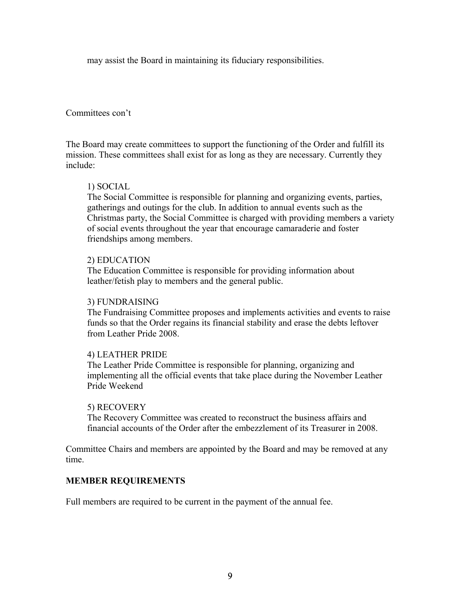may assist the Board in maintaining its fiduciary responsibilities.

## Committees con't

The Board may create committees to support the functioning of the Order and fulfill its mission. These committees shall exist for as long as they are necessary. Currently they include:

## 1) SOCIAL

The Social Committee is responsible for planning and organizing events, parties, gatherings and outings for the club. In addition to annual events such as the Christmas party, the Social Committee is charged with providing members a variety of social events throughout the year that encourage camaraderie and foster friendships among members.

## 2) EDUCATION

The Education Committee is responsible for providing information about leather/fetish play to members and the general public.

#### 3) FUNDRAISING

The Fundraising Committee proposes and implements activities and events to raise funds so that the Order regains its financial stability and erase the debts leftover from Leather Pride 2008.

## 4) LEATHER PRIDE

The Leather Pride Committee is responsible for planning, organizing and implementing all the official events that take place during the November Leather Pride Weekend

#### 5) RECOVERY

The Recovery Committee was created to reconstruct the business affairs and financial accounts of the Order after the embezzlement of its Treasurer in 2008.

Committee Chairs and members are appointed by the Board and may be removed at any time.

## **MEMBER REQUIREMENTS**

Full members are required to be current in the payment of the annual fee.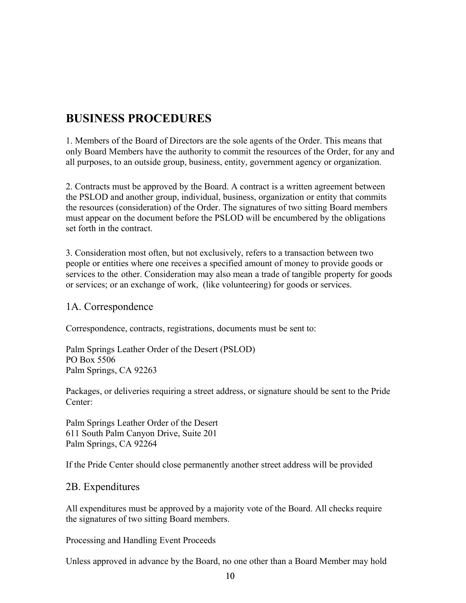# **BUSINESS PROCEDURES**

1. Members of the Board of Directors are the sole agents of the Order. This means that only Board Members have the authority to commit the resources of the Order, for any and all purposes, to an outside group, business, entity, government agency or organization.

2. Contracts must be approved by the Board. A contract is a written agreement between the PSLOD and another group, individual, business, organization or entity that commits the resources (consideration) of the Order. The signatures of two sitting Board members must appear on the document before the PSLOD will be encumbered by the obligations set forth in the contract.

3. Consideration most often, but not exclusively, refers to a transaction between two people or entities where one receives a specified amount of money to provide goods or services to the other. Consideration may also mean a trade of tangible property for goods or services; or an exchange of work, (like volunteering) for goods or services.

# 1A. Correspondence

Correspondence, contracts, registrations, documents must be sent to:

Palm Springs Leather Order of the Desert (PSLOD) PO Box 5506 Palm Springs, CA 92263

Packages, or deliveries requiring a street address, or signature should be sent to the Pride Center:

Palm Springs Leather Order of the Desert 611 South Palm Canyon Drive, Suite 201 Palm Springs, CA 92264

If the Pride Center should close permanently another street address will be provided

# 2B. Expenditures

All expenditures must be approved by a majority vote of the Board. All checks require the signatures of two sitting Board members.

Processing and Handling Event Proceeds

Unless approved in advance by the Board, no one other than a Board Member may hold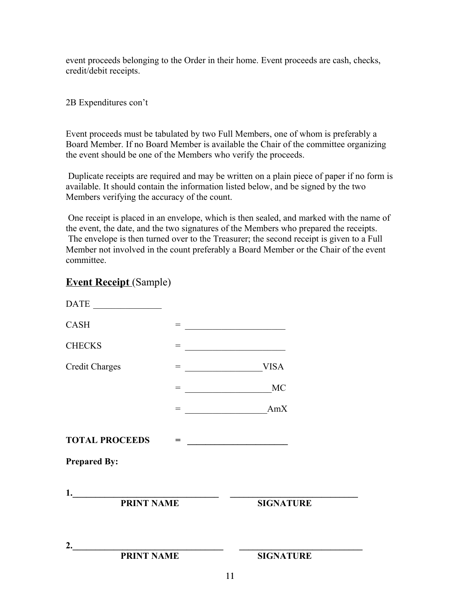event proceeds belonging to the Order in their home. Event proceeds are cash, checks, credit/debit receipts.

## 2B Expenditures con't

Event proceeds must be tabulated by two Full Members, one of whom is preferably a Board Member. If no Board Member is available the Chair of the committee organizing the event should be one of the Members who verify the proceeds.

 Duplicate receipts are required and may be written on a plain piece of paper if no form is available. It should contain the information listed below, and be signed by the two Members verifying the accuracy of the count.

 One receipt is placed in an envelope, which is then sealed, and marked with the name of the event, the date, and the two signatures of the Members who prepared the receipts. The envelope is then turned over to the Treasurer; the second receipt is given to a Full Member not involved in the count preferably a Board Member or the Chair of the event committee.

# **Event Receipt** (Sample)

|                                                     |     | 11                          |                                                                 |  |
|-----------------------------------------------------|-----|-----------------------------|-----------------------------------------------------------------|--|
| 2. $\overline{\qquad \qquad }$<br><b>PRINT NAME</b> |     |                             | <b>SIGNATURE</b>                                                |  |
| <b>PRINT NAME</b>                                   |     |                             | <b>SIGNATURE</b>                                                |  |
| 1. $\qquad \qquad$                                  |     |                             |                                                                 |  |
| <b>Prepared By:</b>                                 |     |                             |                                                                 |  |
| <b>TOTAL PROCEEDS</b>                               |     |                             |                                                                 |  |
|                                                     |     | = <u>__________________</u> | AmX                                                             |  |
|                                                     |     |                             |                                                                 |  |
| <b>Credit Charges</b>                               |     |                             | <b>VISA</b>                                                     |  |
| <b>CHECKS</b>                                       |     |                             | <u> 1989 - Johann Barn, fransk politik amerikansk politik (</u> |  |
| <b>CASH</b>                                         | $=$ |                             | <u> 1989 - Johann Barnett, fransk politik (</u>                 |  |
| $\overline{\text{DATE}}$                            |     |                             |                                                                 |  |